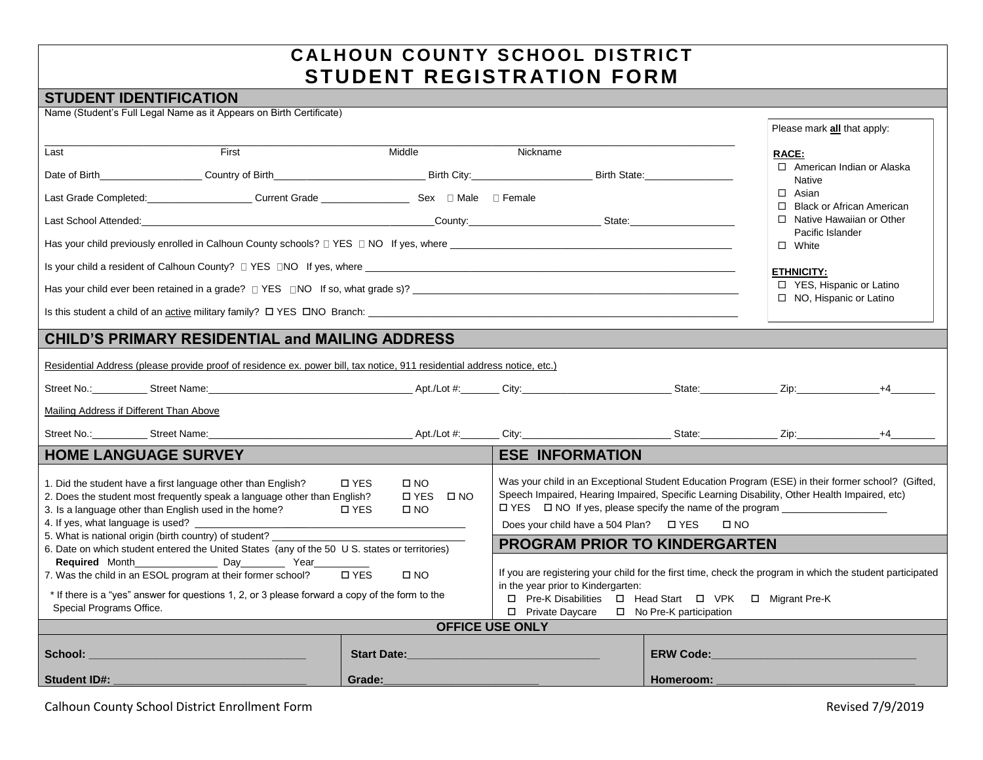## **CALHOUN COUNTY SCHOOL DISTRICT STUDENT REGISTR ATION FORM**

## **STUDENT IDENTIFICATION**

|                                                                                                                                                                                                                                        | Name (Student's Full Legal Name as it Appears on Birth Certificate)                                                                                                                                                           |                                        |                                                                                                                                                                                                                                                          |           |                                                     |      |  |  |  |  |  |
|----------------------------------------------------------------------------------------------------------------------------------------------------------------------------------------------------------------------------------------|-------------------------------------------------------------------------------------------------------------------------------------------------------------------------------------------------------------------------------|----------------------------------------|----------------------------------------------------------------------------------------------------------------------------------------------------------------------------------------------------------------------------------------------------------|-----------|-----------------------------------------------------|------|--|--|--|--|--|
|                                                                                                                                                                                                                                        |                                                                                                                                                                                                                               |                                        |                                                                                                                                                                                                                                                          |           | Please mark all that apply:                         |      |  |  |  |  |  |
| Last                                                                                                                                                                                                                                   | First                                                                                                                                                                                                                         | Middle                                 | Nickname                                                                                                                                                                                                                                                 |           | RACE:                                               |      |  |  |  |  |  |
|                                                                                                                                                                                                                                        |                                                                                                                                                                                                                               |                                        |                                                                                                                                                                                                                                                          |           | □ American Indian or Alaska<br><b>Native</b>        |      |  |  |  |  |  |
|                                                                                                                                                                                                                                        | Last Grade Completed: Current Grade Current Grade Completed: Current Grade Current Grade Completed: Current Grade C                                                                                                           |                                        |                                                                                                                                                                                                                                                          |           | $\Box$ Asian<br>□ Black or African American         |      |  |  |  |  |  |
|                                                                                                                                                                                                                                        | Last School Attended: School Attended: County: County: County: County: State: School Attended: State: County: County: County: County: County: County: County: County: County: County: County: County: County: County: County: |                                        |                                                                                                                                                                                                                                                          |           | $\Box$ Native Hawaiian or Other<br>Pacific Islander |      |  |  |  |  |  |
| Has your child previously enrolled in Calhoun County schools? $\Box$ YES $\Box$ NO If yes, where                                                                                                                                       | $\Box$ White                                                                                                                                                                                                                  |                                        |                                                                                                                                                                                                                                                          |           |                                                     |      |  |  |  |  |  |
|                                                                                                                                                                                                                                        |                                                                                                                                                                                                                               |                                        |                                                                                                                                                                                                                                                          |           | <b>ETHNICITY:</b>                                   |      |  |  |  |  |  |
|                                                                                                                                                                                                                                        | □ YES, Hispanic or Latino<br>□ NO, Hispanic or Latino                                                                                                                                                                         |                                        |                                                                                                                                                                                                                                                          |           |                                                     |      |  |  |  |  |  |
|                                                                                                                                                                                                                                        |                                                                                                                                                                                                                               |                                        |                                                                                                                                                                                                                                                          |           |                                                     |      |  |  |  |  |  |
|                                                                                                                                                                                                                                        | <b>CHILD'S PRIMARY RESIDENTIAL and MAILING ADDRESS</b>                                                                                                                                                                        |                                        |                                                                                                                                                                                                                                                          |           |                                                     |      |  |  |  |  |  |
| Residential Address (please provide proof of residence ex. power bill, tax notice, 911 residential address notice, etc.)                                                                                                               |                                                                                                                                                                                                                               |                                        |                                                                                                                                                                                                                                                          |           |                                                     |      |  |  |  |  |  |
|                                                                                                                                                                                                                                        | Street No.: Street Name: the Street Name: the Street Name: the Street No.: State: 2ip: +4                                                                                                                                     |                                        |                                                                                                                                                                                                                                                          |           |                                                     |      |  |  |  |  |  |
| Mailing Address if Different Than Above                                                                                                                                                                                                |                                                                                                                                                                                                                               |                                        |                                                                                                                                                                                                                                                          |           |                                                     |      |  |  |  |  |  |
|                                                                                                                                                                                                                                        | Street No.: Street Name: Street Name:                                                                                                                                                                                         |                                        | Apt./Lot #: City: City: City: State: Zip:                                                                                                                                                                                                                |           |                                                     | $+4$ |  |  |  |  |  |
| <b>HOME LANGUAGE SURVEY</b>                                                                                                                                                                                                            |                                                                                                                                                                                                                               |                                        | <b>ESE INFORMATION</b>                                                                                                                                                                                                                                   |           |                                                     |      |  |  |  |  |  |
| 1. Did the student have a first language other than English?<br>2. Does the student most frequently speak a language other than English?<br>3. Is a language other than English used in the home?<br>4. If yes, what language is used? | Was your child in an Exceptional Student Education Program (ESE) in their former school? (Gifted,<br>Speech Impaired, Hearing Impaired, Specific Learning Disability, Other Health Impaired, etc)<br>$\Box$ NO                |                                        |                                                                                                                                                                                                                                                          |           |                                                     |      |  |  |  |  |  |
| 5. What is national origin (birth country) of student? _<br>6. Date on which student entered the United States (any of the 50 U S. states or territories)                                                                              | <b>PROGRAM PRIOR TO KINDERGARTEN</b>                                                                                                                                                                                          |                                        |                                                                                                                                                                                                                                                          |           |                                                     |      |  |  |  |  |  |
| Special Programs Office.                                                                                                                                                                                                               | 7. Was the child in an ESOL program at their former school?<br>* If there is a "yes" answer for questions 1, 2, or 3 please forward a copy of the form to the                                                                 | <b>DYES</b><br>$\square$ NO            | If you are registering your child for the first time, check the program in which the student participated<br>in the year prior to Kindergarten:<br>□ Pre-K Disabilities □ Head Start □ VPK □ Migrant Pre-K<br>□ Private Daycare □ No Pre-K participation |           |                                                     |      |  |  |  |  |  |
|                                                                                                                                                                                                                                        |                                                                                                                                                                                                                               |                                        | <b>OFFICE USE ONLY</b>                                                                                                                                                                                                                                   |           |                                                     |      |  |  |  |  |  |
| School:                                                                                                                                                                                                                                |                                                                                                                                                                                                                               | <b>Start Date:</b><br><b>ERW Code:</b> |                                                                                                                                                                                                                                                          |           |                                                     |      |  |  |  |  |  |
| <b>Student ID#:</b>                                                                                                                                                                                                                    |                                                                                                                                                                                                                               | Grade:                                 |                                                                                                                                                                                                                                                          | Homeroom: |                                                     |      |  |  |  |  |  |